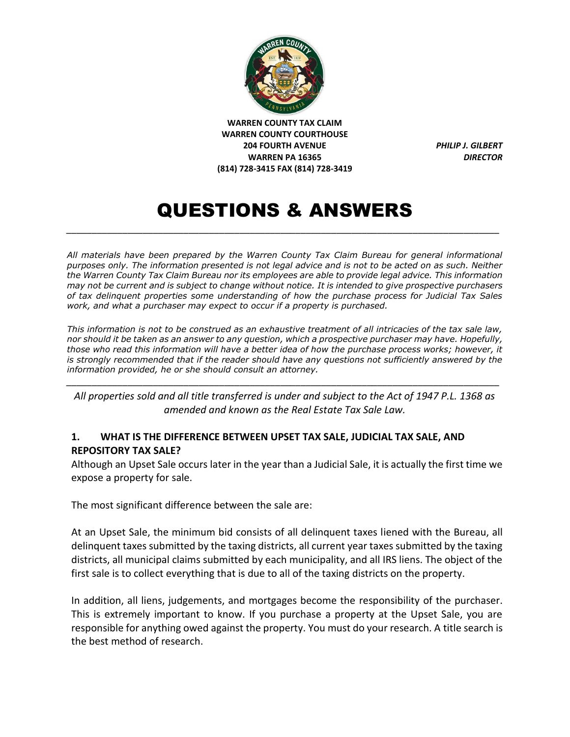

# QUESTIONS & ANSWERS

*\_\_\_\_\_\_\_\_\_\_\_\_\_\_\_\_\_\_\_\_\_\_\_\_\_\_\_\_\_\_\_\_\_\_\_\_\_\_\_\_\_\_\_\_\_\_\_\_\_\_\_\_\_\_\_\_\_\_\_\_\_\_\_\_\_\_\_\_\_\_\_\_\_\_\_\_\_\_\_\_\_\_\_\_\_*

*All materials have been prepared by the Warren County Tax Claim Bureau for general informational purposes only. The information presented is not legal advice and is not to be acted on as such. Neither the Warren County Tax Claim Bureau nor its employees are able to provide legal advice. This information may not be current and is subject to change without notice. It is intended to give prospective purchasers of tax delinquent properties some understanding of how the purchase process for Judicial Tax Sales work, and what a purchaser may expect to occur if a property is purchased.*

*This information is not to be construed as an exhaustive treatment of all intricacies of the tax sale law, nor should it be taken as an answer to any question, which a prospective purchaser may have. Hopefully, those who read this information will have a better idea of how the purchase process works; however, it is strongly recommended that if the reader should have any questions not sufficiently answered by the information provided, he or she should consult an attorney.*

*All properties sold and all title transferred is under and subject to the Act of 1947 P.L. 1368 as amended and known as the Real Estate Tax Sale Law.* 

*\_\_\_\_\_\_\_\_\_\_\_\_\_\_\_\_\_\_\_\_\_\_\_\_\_\_\_\_\_\_\_\_\_\_\_\_\_\_\_\_\_\_\_\_\_\_\_\_\_\_\_\_\_\_\_\_\_\_\_\_\_\_\_\_\_\_\_\_\_\_\_\_\_\_\_\_\_\_\_\_\_\_\_\_\_*

#### **1. WHAT IS THE DIFFERENCE BETWEEN UPSET TAX SALE, JUDICIAL TAX SALE, AND REPOSITORY TAX SALE?**

Although an Upset Sale occurs later in the year than a Judicial Sale, it is actually the first time we expose a property for sale.

The most significant difference between the sale are:

At an Upset Sale, the minimum bid consists of all delinquent taxes liened with the Bureau, all delinquent taxes submitted by the taxing districts, all current year taxes submitted by the taxing districts, all municipal claims submitted by each municipality, and all IRS liens. The object of the first sale is to collect everything that is due to all of the taxing districts on the property.

In addition, all liens, judgements, and mortgages become the responsibility of the purchaser. This is extremely important to know. If you purchase a property at the Upset Sale, you are responsible for anything owed against the property. You must do your research. A title search is the best method of research.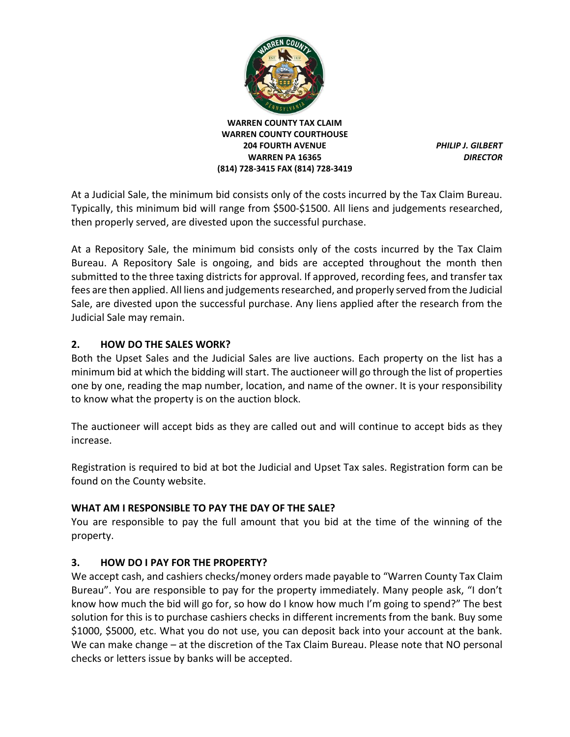

At a Judicial Sale, the minimum bid consists only of the costs incurred by the Tax Claim Bureau. Typically, this minimum bid will range from \$500-\$1500. All liens and judgements researched, then properly served, are divested upon the successful purchase.

At a Repository Sale, the minimum bid consists only of the costs incurred by the Tax Claim Bureau. A Repository Sale is ongoing, and bids are accepted throughout the month then submitted to the three taxing districts for approval. If approved, recording fees, and transfer tax fees are then applied. All liens and judgements researched, and properly served from the Judicial Sale, are divested upon the successful purchase. Any liens applied after the research from the Judicial Sale may remain.

#### **2. HOW DO THE SALES WORK?**

Both the Upset Sales and the Judicial Sales are live auctions. Each property on the list has a minimum bid at which the bidding will start. The auctioneer will go through the list of properties one by one, reading the map number, location, and name of the owner. It is your responsibility to know what the property is on the auction block.

The auctioneer will accept bids as they are called out and will continue to accept bids as they increase.

Registration is required to bid at bot the Judicial and Upset Tax sales. Registration form can be found on the County website.

#### **WHAT AM I RESPONSIBLE TO PAY THE DAY OF THE SALE?**

You are responsible to pay the full amount that you bid at the time of the winning of the property.

#### **3. HOW DO I PAY FOR THE PROPERTY?**

We accept cash, and cashiers checks/money orders made payable to "Warren County Tax Claim Bureau". You are responsible to pay for the property immediately. Many people ask, "I don't know how much the bid will go for, so how do I know how much I'm going to spend?" The best solution for this is to purchase cashiers checks in different increments from the bank. Buy some \$1000, \$5000, etc. What you do not use, you can deposit back into your account at the bank. We can make change – at the discretion of the Tax Claim Bureau. Please note that NO personal checks or letters issue by banks will be accepted.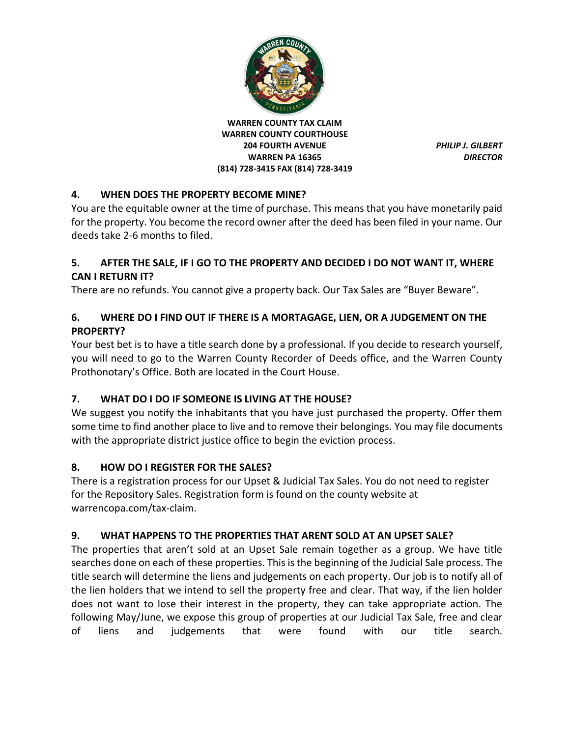

## **4. WHEN DOES THE PROPERTY BECOME MINE?**

You are the equitable owner at the time of purchase. This means that you have monetarily paid for the property. You become the record owner after the deed has been filed in your name. Our deeds take 2-6 months to filed.

#### **5. AFTER THE SALE, IF I GO TO THE PROPERTY AND DECIDED I DO NOT WANT IT, WHERE CAN I RETURN IT?**

There are no refunds. You cannot give a property back. Our Tax Sales are "Buyer Beware".

## **6. WHERE DO I FIND OUT IF THERE IS A MORTAGAGE, LIEN, OR A JUDGEMENT ON THE PROPERTY?**

Your best bet is to have a title search done by a professional. If you decide to research yourself, you will need to go to the Warren County Recorder of Deeds office, and the Warren County Prothonotary's Office. Both are located in the Court House.

# **7. WHAT DO I DO IF SOMEONE IS LIVING AT THE HOUSE?**

We suggest you notify the inhabitants that you have just purchased the property. Offer them some time to find another place to live and to remove their belongings. You may file documents with the appropriate district justice office to begin the eviction process.

## **8. HOW DO I REGISTER FOR THE SALES?**

There is a registration process for our Upset & Judicial Tax Sales. You do not need to register for the Repository Sales. Registration form is found on the county website at warrencopa.com/tax-claim.

# **9. WHAT HAPPENS TO THE PROPERTIES THAT ARENT SOLD AT AN UPSET SALE?**

The properties that aren't sold at an Upset Sale remain together as a group. We have title searches done on each of these properties. This is the beginning of the Judicial Sale process. The title search will determine the liens and judgements on each property. Our job is to notify all of the lien holders that we intend to sell the property free and clear. That way, if the lien holder does not want to lose their interest in the property, they can take appropriate action. The following May/June, we expose this group of properties at our Judicial Tax Sale, free and clear of liens and judgements that were found with our title search.